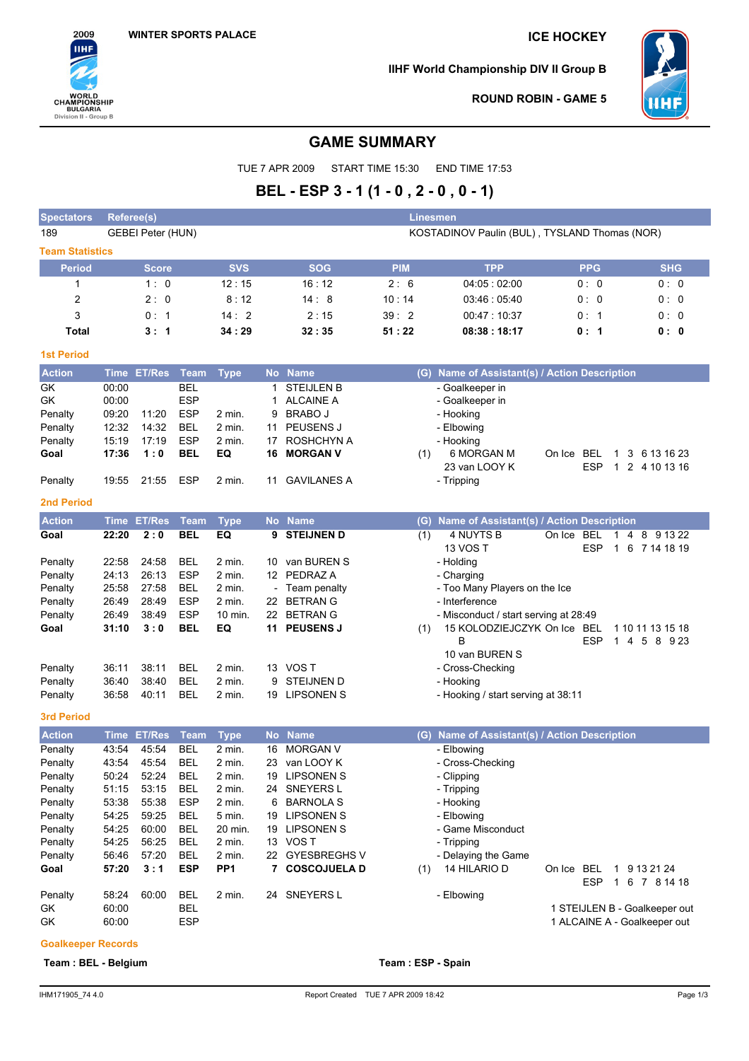

**IIHF World Championship DIV II Group B**



**ROUND ROBIN - GAME 5**

# **GAME SUMMARY**

TUE 7 APR 2009 START TIME 15:30 END TIME 17:53

# **BEL - ESP 3 - 1 (1 - 0 , 2 - 0 , 0 - 1)**

| <b>Spectators</b>      | <b>Referee(s)</b> |                   |             |                 |    |                   | <b>Linesmen</b>                               |                                           |                      |                                             |  |  |  |
|------------------------|-------------------|-------------------|-------------|-----------------|----|-------------------|-----------------------------------------------|-------------------------------------------|----------------------|---------------------------------------------|--|--|--|
| 189                    |                   | GEBEI Peter (HUN) |             |                 |    |                   | KOSTADINOV Paulin (BUL), TYSLAND Thomas (NOR) |                                           |                      |                                             |  |  |  |
| <b>Team Statistics</b> |                   |                   |             |                 |    |                   |                                               |                                           |                      |                                             |  |  |  |
| <b>Period</b>          |                   | <b>Score</b>      |             | <b>SVS</b>      |    | <b>SOG</b>        | <b>PIM</b>                                    | <b>TPP</b>                                | <b>PPG</b>           | <b>SHG</b>                                  |  |  |  |
| 1                      |                   | 1:0               |             | 12:15           |    | 16:12             | 2:6                                           | 04:05:02:00                               | 0:0                  | 0:0                                         |  |  |  |
| 2                      |                   | 2:0               |             | 8:12            |    | 14:8              | 10:14                                         | 03:46:05:40                               | 0:0                  | 0:0                                         |  |  |  |
| 3                      |                   | 0:1               |             | 14:2            |    | 2:15              | 39:2                                          | 00:47:10:37                               | 0: 1                 | 0:0                                         |  |  |  |
| Total                  |                   | 3:1               |             | 34:29           |    | 32:35             | 51:22                                         | 08:38:18:17                               | 0: 1                 | 0:0                                         |  |  |  |
| <b>1st Period</b>      |                   |                   |             |                 |    |                   |                                               |                                           |                      |                                             |  |  |  |
| <b>Action</b>          | <b>Time</b>       | <b>ET/Res</b>     | <b>Team</b> | <b>Type</b>     |    | No Name           | (G)                                           | Name of Assistant(s) / Action Description |                      |                                             |  |  |  |
| GK                     | 00:00             |                   | <b>BEL</b>  |                 | 1  | <b>STEIJLEN B</b> |                                               | - Goalkeeper in                           |                      |                                             |  |  |  |
| GK                     | 00:00             |                   | <b>ESP</b>  |                 | 1  | <b>ALCAINE A</b>  |                                               | - Goalkeeper in                           |                      |                                             |  |  |  |
| Penalty                | 09:20             | 11:20             | <b>ESP</b>  | 2 min.          | 9  | <b>BRABO J</b>    |                                               | - Hooking                                 |                      |                                             |  |  |  |
| Penalty                | 12:32             | 14:32             | <b>BEL</b>  | 2 min.          | 11 | PEUSENS J         |                                               | - Elbowing                                |                      |                                             |  |  |  |
| Penalty                | 15:19             | 17:19             | <b>ESP</b>  | 2 min.          | 17 | ROSHCHYN A        |                                               | - Hooking                                 |                      |                                             |  |  |  |
| Goal                   | 17:36             | 1:0               | BEL         | EQ              | 16 | <b>MORGAN V</b>   | (1)                                           | 6 MORGAN M                                | On Ice BEL           | 1 3 6 13 16 23                              |  |  |  |
|                        |                   |                   |             |                 |    |                   |                                               | 23 van LOOY K                             | <b>ESP</b>           | 1 2 4 10 13 16                              |  |  |  |
| Penalty                | 19:55             | 21:55             | ESP         | 2 min.          |    | 11 GAVILANES A    |                                               | - Tripping                                |                      |                                             |  |  |  |
| <b>2nd Period</b>      |                   |                   |             |                 |    |                   |                                               |                                           |                      |                                             |  |  |  |
| <b>Action</b>          | <b>Time</b>       | <b>ET/Res</b>     | <b>Team</b> | <b>Type</b>     |    | No Name           | (G)                                           | Name of Assistant(s) / Action Description |                      |                                             |  |  |  |
| Goal                   | 22:20             | 2:0               | <b>BEL</b>  | EQ              | 9  | <b>STEIJNEN D</b> | (1)                                           | 4 NUYTS B                                 | <b>BEL</b><br>On Ice | $\overline{4}$<br>8 9 13 22<br>$\mathbf{1}$ |  |  |  |
|                        |                   |                   |             |                 |    |                   |                                               | 13 VOS T                                  | <b>ESP</b>           | 1 6 7 14 18 19                              |  |  |  |
| Penalty                | 22:58             | 24:58             | <b>BEL</b>  | $2$ min.        |    | 10 van BUREN S    |                                               | - Holding                                 |                      |                                             |  |  |  |
| Penalty                | 24:13             | 26:13             | <b>ESP</b>  | 2 min.          |    | 12 PEDRAZ A       |                                               | - Charging                                |                      |                                             |  |  |  |
| Penalty                | 25:58             | 27:58             | <b>BEL</b>  | 2 min.          |    | - Team penalty    |                                               | - Too Many Players on the Ice             |                      |                                             |  |  |  |
| Penalty                | 26:49             | 28:49             | <b>ESP</b>  | 2 min.          |    | 22 BETRAN G       |                                               | - Interference                            |                      |                                             |  |  |  |
| Penalty                | 26:49             | 38:49             | <b>ESP</b>  | 10 min.         |    | 22 BETRAN G       |                                               | - Misconduct / start serving at 28:49     |                      |                                             |  |  |  |
| Goal                   | 31:10             | 3:0               | <b>BEL</b>  | EQ              |    | 11 PEUSENS J      | (1)                                           | 15 KOLODZIEJCZYK On Ice BEL               |                      | 1 10 11 13 15 18                            |  |  |  |
|                        |                   |                   |             |                 |    |                   |                                               | B                                         | <b>ESP</b>           | 1 4 5 8 9 23                                |  |  |  |
|                        |                   |                   |             |                 |    |                   |                                               | 10 van BUREN S                            |                      |                                             |  |  |  |
| Penalty                | 36:11             | 38:11             | <b>BEL</b>  | 2 min.          |    | 13 VOS T          |                                               | - Cross-Checking                          |                      |                                             |  |  |  |
| Penalty                | 36:40             | 38:40             | <b>BEL</b>  | 2 min.          | 9  | STEIJNEN D        |                                               | - Hooking                                 |                      |                                             |  |  |  |
| Penalty                | 36:58             | 40:11             | <b>BEL</b>  | 2 min.          |    | 19 LIPSONEN S     |                                               | - Hooking / start serving at 38:11        |                      |                                             |  |  |  |
| 3rd Period             |                   |                   |             |                 |    |                   |                                               |                                           |                      |                                             |  |  |  |
| <b>Action</b>          | Time              | <b>ET/Res</b>     | <b>Team</b> | <b>Type</b>     |    | No Name           | (G)                                           | Name of Assistant(s) / Action Description |                      |                                             |  |  |  |
| Penalty                | 43:54             | 45:54             | <b>BEL</b>  | 2 min.          |    | 16 MORGAN V       |                                               | - Elbowing                                |                      |                                             |  |  |  |
| Penalty                | 43:54             | 45:54             | <b>BEL</b>  | 2 min.          | 23 | van LOOY K        |                                               | - Cross-Checking                          |                      |                                             |  |  |  |
| Penalty                | 50:24             | 52:24             | <b>BEL</b>  | 2 min.          | 19 | <b>LIPSONEN S</b> |                                               | - Clipping                                |                      |                                             |  |  |  |
| Penalty                | 51:15             | 53:15             | <b>BEL</b>  | 2 min.          |    | 24 SNEYERS L      |                                               | - Tripping                                |                      |                                             |  |  |  |
| Penalty                | 53:38             | 55:38             | <b>ESP</b>  | 2 min.          | 6  | <b>BARNOLA S</b>  |                                               | - Hooking                                 |                      |                                             |  |  |  |
| Penalty                | 54:25             | 59:25             | <b>BEL</b>  | 5 min.          |    | 19 LIPSONEN S     |                                               | - Elbowing                                |                      |                                             |  |  |  |
| Penalty                | 54:25             | 60:00             | <b>BEL</b>  | 20 min.         |    | 19 LIPSONEN S     |                                               | - Game Misconduct                         |                      |                                             |  |  |  |
| Penalty                | 54:25             | 56:25             | BEL         | 2 min.          |    | 13 VOS T          |                                               | - Tripping                                |                      |                                             |  |  |  |
| Penalty                | 56:46             | 57:20             | <b>BEL</b>  | 2 min.          |    | 22 GYESBREGHS V   |                                               | - Delaying the Game                       |                      |                                             |  |  |  |
| Goal                   | 57:20             | 3:1               | <b>ESP</b>  | PP <sub>1</sub> |    | 7 COSCOJUELA D    | (1)                                           | 14 HILARIO D                              | On Ice BEL<br>ESP    | 1 9 13 21 24<br>1 6 7 8 14 18               |  |  |  |
| Penalty                | 58:24             | 60:00             | <b>BEL</b>  | 2 min.          |    | 24 SNEYERS L      |                                               | - Elbowing                                |                      |                                             |  |  |  |
| GK                     | 60:00             |                   | <b>BEL</b>  |                 |    |                   |                                               |                                           |                      | 1 STEIJLEN B - Goalkeeper out               |  |  |  |
| GK                     | 60:00             |                   | <b>ESP</b>  |                 |    |                   |                                               |                                           |                      | 1 ALCAINE A - Goalkeeper out                |  |  |  |

### **Goalkeeper Records**

**Team : BEL - Belgium Team : ESP - Spain**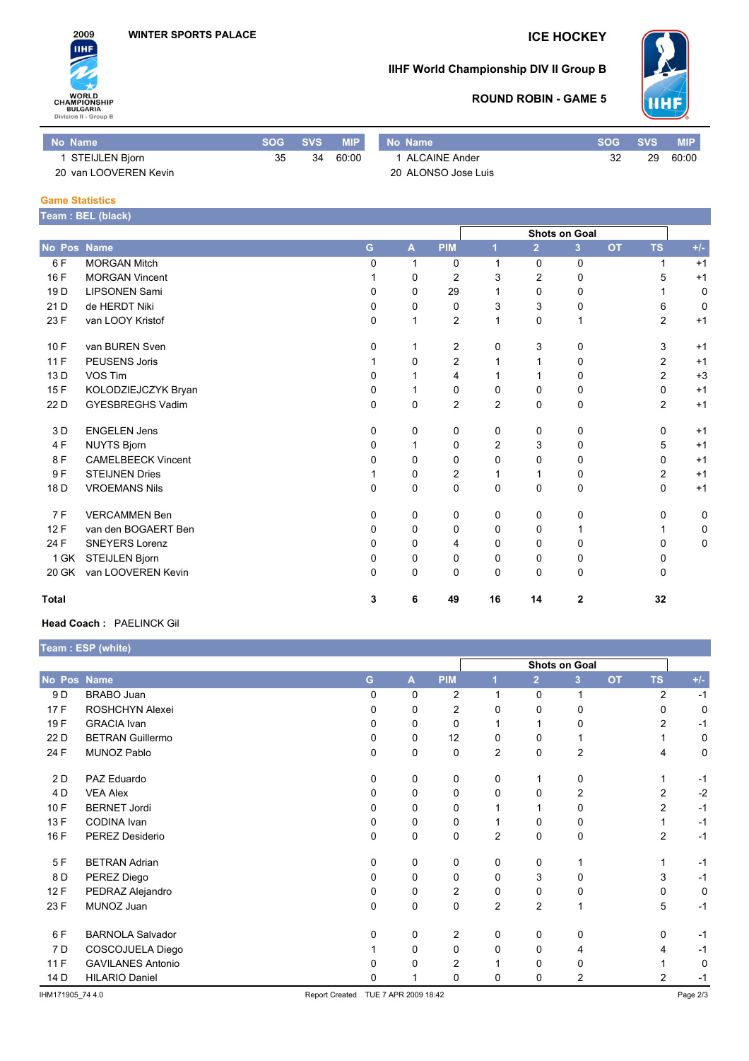

# **IIHF World Championship DIV II Group B**



### **ROUND ROBIN - GAME 5**

| Mo Name               | SOG | <b>SVS</b> | <b>MIP</b> | No Name             | <b>SOG</b> | <b>SVS</b> | <b>MIP</b> |
|-----------------------|-----|------------|------------|---------------------|------------|------------|------------|
| STEIJLEN Bjorn        | 35  | 34         | 60:00      | 1 ALCAINE Ander     | 32         | 29         | 60:00      |
| 20 van LOOVEREN Kevin |     |            |            | 20 ALONSO Jose Luis |            |            |            |

#### **Game Statistics**

|                 | Team: BEL (black)         |              |              |                |                      |                |                |           |                |       |
|-----------------|---------------------------|--------------|--------------|----------------|----------------------|----------------|----------------|-----------|----------------|-------|
|                 |                           |              |              |                | <b>Shots on Goal</b> |                |                |           |                |       |
| No Pos Name     |                           | G.           | $\mathbf{A}$ | <b>PIM</b>     | г                    | $\overline{2}$ | 3 <sup>1</sup> | <b>OT</b> | <b>TS</b>      | $+/-$ |
| 6F              | <b>MORGAN Mitch</b>       | $\Omega$     | 1            | 0              | 1                    | $\Omega$       | $\mathbf 0$    |           | 1              | $+1$  |
| 16F             | <b>MORGAN Vincent</b>     |              | 0            | $\overline{2}$ | 3                    | $\overline{c}$ | $\mathbf 0$    |           | 5              | $+1$  |
| 19 <sub>D</sub> | <b>LIPSONEN Sami</b>      | 0            | 0            | 29             | 1                    | $\Omega$       | 0              |           |                | 0     |
| 21 D            | de HERDT Niki             | $\Omega$     | 0            | 0              | 3                    | 3              | 0              |           | 6              | 0     |
| 23 F            | van LOOY Kristof          | $\Omega$     | 1            | $\overline{2}$ | 1                    | 0              | 1              |           | $\overline{2}$ | $+1$  |
| 10F             | van BUREN Sven            | 0            |              | $\overline{2}$ | 0                    | 3              | 0              |           | 3              | $+1$  |
| 11F             | <b>PEUSENS Joris</b>      |              | 0            | 2              | 1                    | 1              | 0              |           | $\overline{2}$ | $+1$  |
| 13 D            | VOS Tim                   | $\Omega$     |              | 4              | 1                    |                | 0              |           | $\overline{2}$ | $+3$  |
| 15F             | KOLODZIEJCZYK Bryan       | $\mathbf{0}$ |              | 0              | 0                    | $\Omega$       | 0              |           | $\Omega$       | $+1$  |
| 22 D            | <b>GYESBREGHS Vadim</b>   | $\Omega$     | $\Omega$     | $\overline{2}$ | $\overline{2}$       | $\Omega$       | $\mathbf 0$    |           | $\overline{2}$ | $+1$  |
| 3 D             | <b>ENGELEN Jens</b>       | $\Omega$     | 0            | 0              | 0                    | $\Omega$       | 0              |           | $\Omega$       | $+1$  |
| 4F              | <b>NUYTS Bjorn</b>        | $\Omega$     | 1            | 0              | $\overline{c}$       | 3              | 0              |           | 5              | $+1$  |
| 8F              | <b>CAMELBEECK Vincent</b> | $\Omega$     | 0            | 0              | 0                    | 0              | 0              |           | $\Omega$       | $+1$  |
| 9F              | <b>STEIJNEN Dries</b>     |              | 0            | 2              | 1                    | 1              | 0              |           | 2              | $+1$  |
| 18 D            | <b>VROEMANS Nils</b>      | 0            | 0            | 0              | 0                    | $\mathbf 0$    | 0              |           | $\mathbf 0$    | $+1$  |
| 7F              | <b>VERCAMMEN Ben</b>      | $\Omega$     | 0            | 0              | 0                    | 0              | 0              |           | 0              | 0     |
| 12F             | van den BOGAERT Ben       | $\mathbf{0}$ | 0            | 0              | $\Omega$             | 0              | 1              |           |                | 0     |
| 24 F            | <b>SNEYERS Lorenz</b>     | $\Omega$     | 0            | 4              | 0                    | $\Omega$       | 0              |           | $\Omega$       | 0     |
| 1 GK            | STEIJLEN Bjorn            | $\Omega$     | 0            | 0              | 0                    | 0              | 0              |           | 0              |       |
| 20 GK           | van LOOVEREN Kevin        | $\Omega$     | 0            | 0              | 0                    | 0              | 0              |           | $\Omega$       |       |
| <b>Total</b>    |                           | 3            | 6            | 49             | 16                   | 14             | $\mathbf{2}$   |           | 32             |       |

#### **Head Coach :** PAELINCK Gil

|                  | Team : ESP (white)       |                       |                      |                |                |                |                      |           |                |             |
|------------------|--------------------------|-----------------------|----------------------|----------------|----------------|----------------|----------------------|-----------|----------------|-------------|
|                  |                          |                       |                      |                |                |                | <b>Shots on Goal</b> |           |                |             |
| No Pos Name      |                          | G                     | A                    | <b>PIM</b>     |                | $\overline{2}$ | 3 <sup>2</sup>       | <b>OT</b> | <b>TS</b>      | $+/-$       |
| 9 D              | <b>BRABO</b> Juan        | $\Omega$              | 0                    | $\overline{2}$ | 1              | $\mathbf 0$    | 1                    |           | 2              | $-1$        |
| 17F              | ROSHCHYN Alexei          | $\Omega$              | 0                    | 2              | 0              | 0              | 0                    |           | 0              | $\mathbf 0$ |
| 19F              | <b>GRACIA</b> Ivan       | 0                     | 0                    | 0              | 1              | 1              | 0                    |           | $\overline{2}$ | $-1$        |
| 22 D             | <b>BETRAN Guillermo</b>  | 0                     | 0                    | 12             | 0              | 0              |                      |           |                | 0           |
| 24 F             | MUNOZ Pablo              | $\Omega$              | 0                    | 0              | $\overline{2}$ | 0              | 2                    |           | 4              | 0           |
| 2 D              | PAZ Eduardo              | 0                     | 0                    | 0              | 0              | 1              | 0                    |           | 1              | $-1$        |
| 4 D              | <b>VEA Alex</b>          | 0                     | 0                    | 0              | 0              | 0              | 2                    |           | 2              | $-2$        |
| 10F              | <b>BERNET Jordi</b>      | 0                     | 0                    | 0              | 1              | 1              | 0                    |           | $\overline{2}$ | $-1$        |
| 13 F             | CODINA Ivan              | 0                     | 0                    | 0              | 1              | 0              | 0                    |           | 1              | $-1$        |
| 16 F             | PEREZ Desiderio          | 0                     | 0                    | 0              | 2              | 0              | 0                    |           | $\overline{c}$ | $-1$        |
| 5F               | <b>BETRAN Adrian</b>     | 0                     | 0                    | 0              | 0              | 0              | 1                    |           | 1              | $-1$        |
| 8 D              | PEREZ Diego              | 0                     | 0                    | 0              | 0              | 3              | 0                    |           | 3              | $-1$        |
| 12F              | PEDRAZ Alejandro         | 0                     | 0                    | 2              | 0              | 0              | 0                    |           | 0              | $\mathbf 0$ |
| 23 F             | MUNOZ Juan               | 0                     | 0                    | 0              | $\overline{2}$ | 2              | 1                    |           | 5              | $-1$        |
| 6 F              | <b>BARNOLA Salvador</b>  | 0                     | 0                    | 2              | 0              | 0              | 0                    |           | 0              | $-1$        |
| 7 D              | COSCOJUELA Diego         |                       | 0                    | 0              | 0              | 0              | 4                    |           | 4              | $-1$        |
| 11F              | <b>GAVILANES Antonio</b> | $\Omega$              | 0                    | $\overline{2}$ |                | $\Omega$       | 0                    |           |                | 0           |
| 14 D             | <b>HILARIO Daniel</b>    | $\Omega$              |                      | 0              | 0              | 0              | 2                    |           | $\overline{2}$ | $-1$        |
| IHM171905 74 4.0 |                          | <b>Report Created</b> | TUE 7 APR 2009 18:42 |                |                |                |                      |           |                | Page 2/3    |